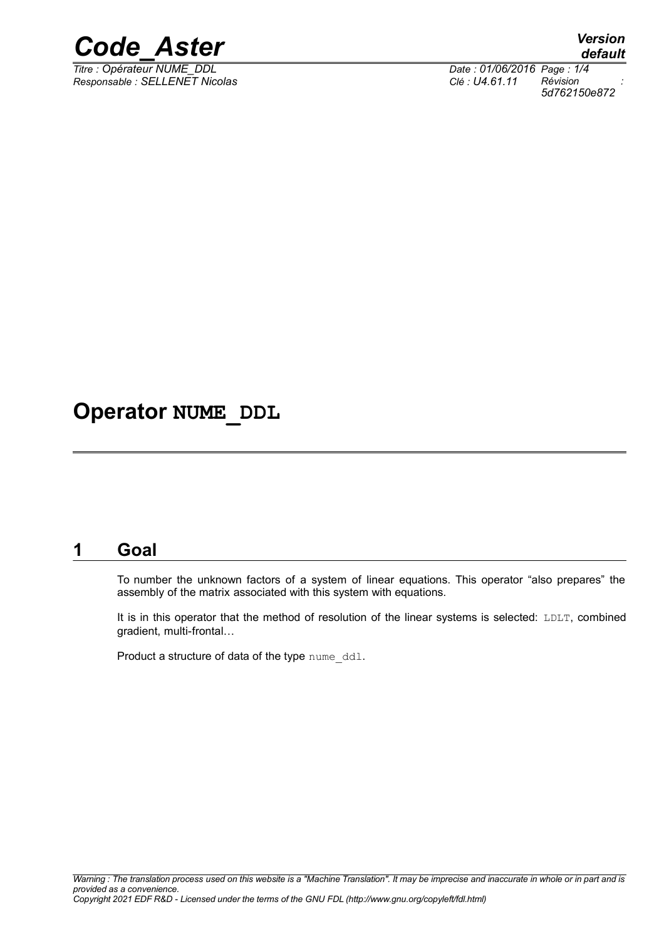

*Titre : Opérateur NUME\_DDL Date : 01/06/2016 Page : 1/4 Responsable : SELLENET Nicolas Clé : U4.61.11 Révision :*

*5d762150e872*

# **Operator NUME\_DDL**

#### **1 Goal**

To number the unknown factors of a system of linear equations. This operator "also prepares" the assembly of the matrix associated with this system with equations.

It is in this operator that the method of resolution of the linear systems is selected: LDLT, combined gradient, multi-frontal…

Product a structure of data of the type nume ddl.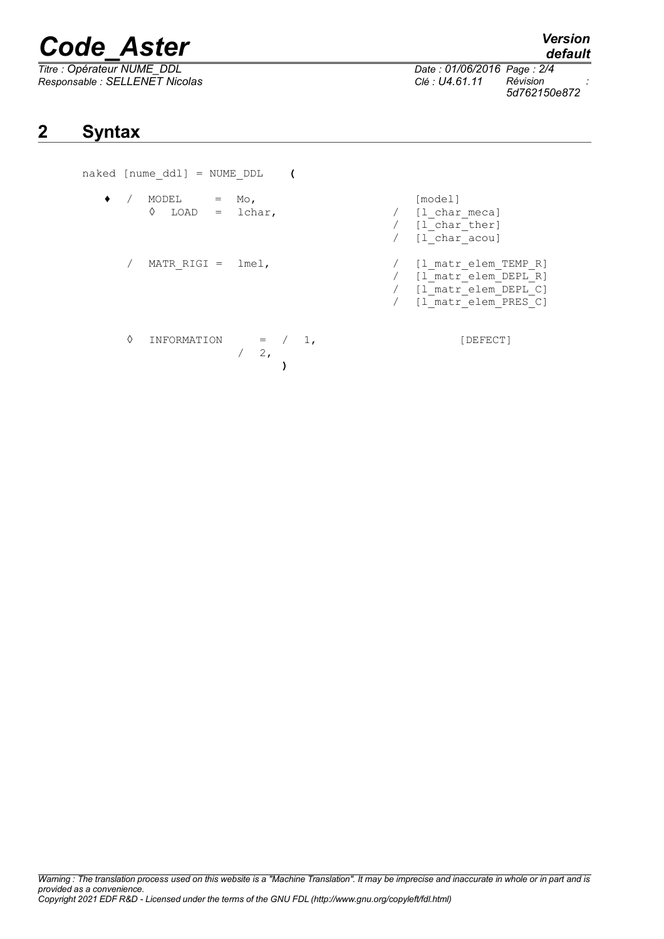# *Code\_Aster Version*

*Responsable : SELLENET Nicolas Clé : U4.61.11 Révision :*

*Thate : 01/06/2016 Page : 2/4*<br>*Clé : U4.61.11 Révision 5d762150e872*

# **2 Syntax**

naked [nume\_ddl] = NUME\_DDL **(**

- ♦ / MODEL = Mo, [model] ability in the case of the late of the late of  $(1)$  charmeca]
	- / MATR\_RIGI = lmel, <br>/ [l\_matr\_elem\_TEMP\_R]<br>/ [l\_matr\_elem\_DEPL\_R]
	- $\begin{array}{ccc} \Diamond & \text{INFORMATION} & = & / & 1, \\ & & / & 2, \end{array}$  [DEFECT]  $/$ **)**

/ [l\_matr\_elem\_DEPL\_R]<br>/ [l\_matr\_elem\_DEPL\_C] / [l\_matr\_elem\_DEPL\_C]<br>/ [l\_matr\_elem\_PRES\_C] [l\_matr\_elem\_PRES\_C]

 $/$  [l\_char\_ther]  $/$   $[1]$   ${\rm char}$   ${\rm accou}$ ] *default*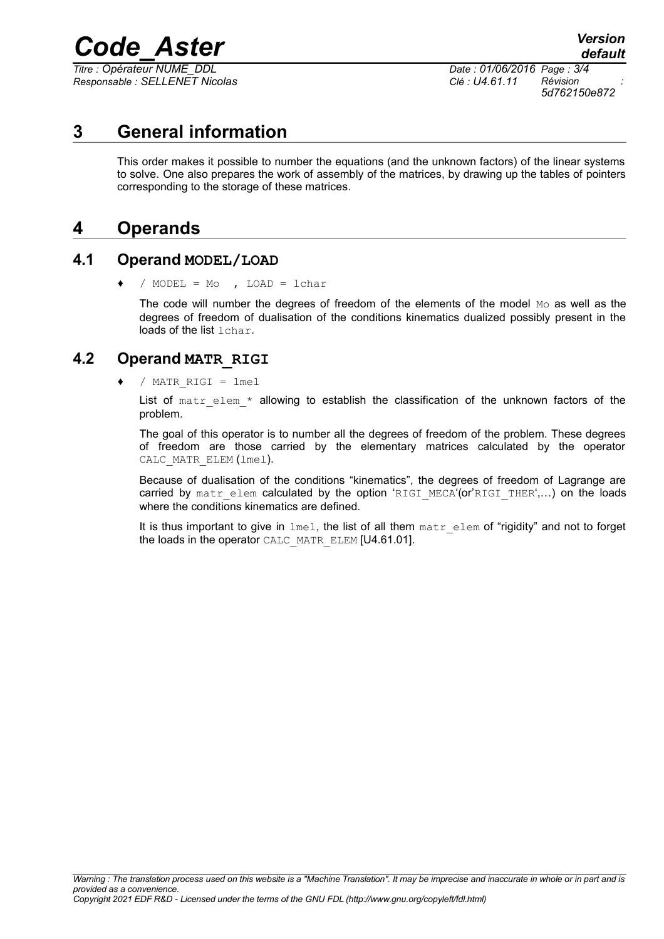# *Code\_Aster Version*

*Titre : Opérateur NUME\_DDL Date : 01/06/2016 Page : 3/4 Responsable : SELLENET Nicolas Clé : U4.61.11 Révision :*

*5d762150e872*

# **3 General information**

This order makes it possible to number the equations (and the unknown factors) of the linear systems to solve. One also prepares the work of assembly of the matrices, by drawing up the tables of pointers corresponding to the storage of these matrices.

### **4 Operands**

#### **4.1 Operand MODEL/LOAD**

 $/$  MODEL = Mo , LOAD = lchar

The code will number the degrees of freedom of the elements of the model  $M_{\odot}$  as well as the degrees of freedom of dualisation of the conditions kinematics dualized possibly present in the loads of the list lchar.

#### **4.2 Operand MATR\_RIGI**

♦ / MATR\_RIGI = lmel

List of matr elem  $*$  allowing to establish the classification of the unknown factors of the problem.

The goal of this operator is to number all the degrees of freedom of the problem. These degrees of freedom are those carried by the elementary matrices calculated by the operator CALC\_MATR\_ELEM (lmel).

Because of dualisation of the conditions "kinematics", the degrees of freedom of Lagrange are carried by matr\_elem calculated by the option 'RIGI\_MECA'(or'RIGI\_THER',...) on the loads where the conditions kinematics are defined.

It is thus important to give in  $\text{Im}e1$ , the list of all them matr elem of "rigidity" and not to forget the loads in the operator CALC\_MATR\_ELEM [U4.61.01].